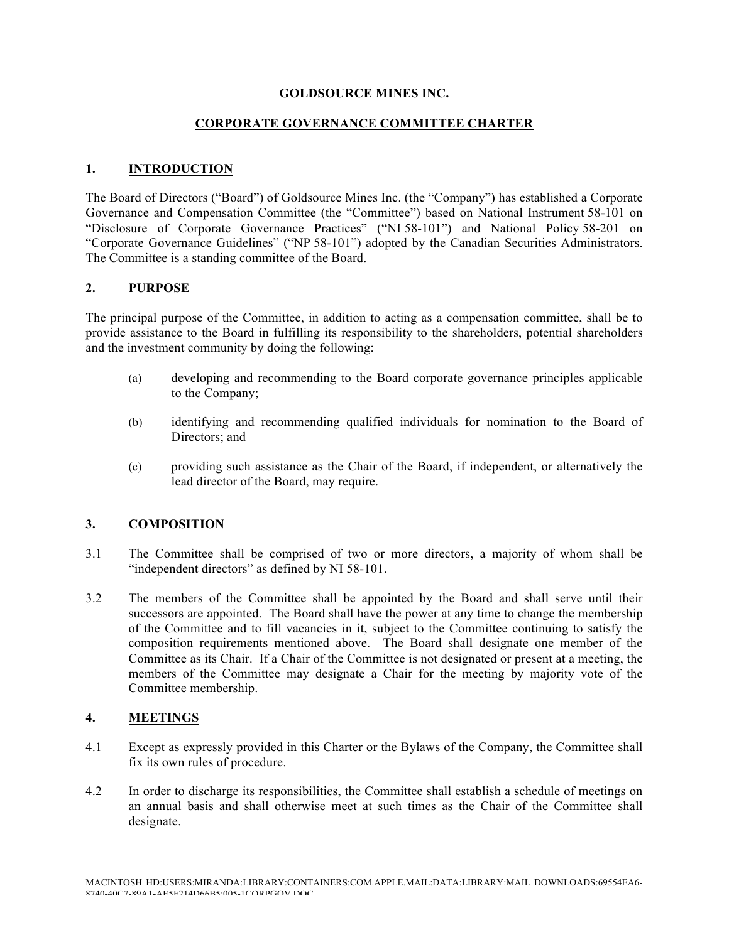#### **GOLDSOURCE MINES INC.**

### **CORPORATE GOVERNANCE COMMITTEE CHARTER**

### **1. INTRODUCTION**

The Board of Directors ("Board") of Goldsource Mines Inc. (the "Company") has established a Corporate Governance and Compensation Committee (the "Committee") based on National Instrument 58-101 on "Disclosure of Corporate Governance Practices" ("NI 58-101") and National Policy 58-201 on "Corporate Governance Guidelines" ("NP 58-101") adopted by the Canadian Securities Administrators. The Committee is a standing committee of the Board.

## **2. PURPOSE**

The principal purpose of the Committee, in addition to acting as a compensation committee, shall be to provide assistance to the Board in fulfilling its responsibility to the shareholders, potential shareholders and the investment community by doing the following:

- (a) developing and recommending to the Board corporate governance principles applicable to the Company;
- (b) identifying and recommending qualified individuals for nomination to the Board of Directors; and
- (c) providing such assistance as the Chair of the Board, if independent, or alternatively the lead director of the Board, may require.

## **3. COMPOSITION**

- 3.1 The Committee shall be comprised of two or more directors, a majority of whom shall be "independent directors" as defined by NI 58-101.
- 3.2 The members of the Committee shall be appointed by the Board and shall serve until their successors are appointed. The Board shall have the power at any time to change the membership of the Committee and to fill vacancies in it, subject to the Committee continuing to satisfy the composition requirements mentioned above. The Board shall designate one member of the Committee as its Chair. If a Chair of the Committee is not designated or present at a meeting, the members of the Committee may designate a Chair for the meeting by majority vote of the Committee membership.

## **4. MEETINGS**

- 4.1 Except as expressly provided in this Charter or the Bylaws of the Company, the Committee shall fix its own rules of procedure.
- 4.2 In order to discharge its responsibilities, the Committee shall establish a schedule of meetings on an annual basis and shall otherwise meet at such times as the Chair of the Committee shall designate.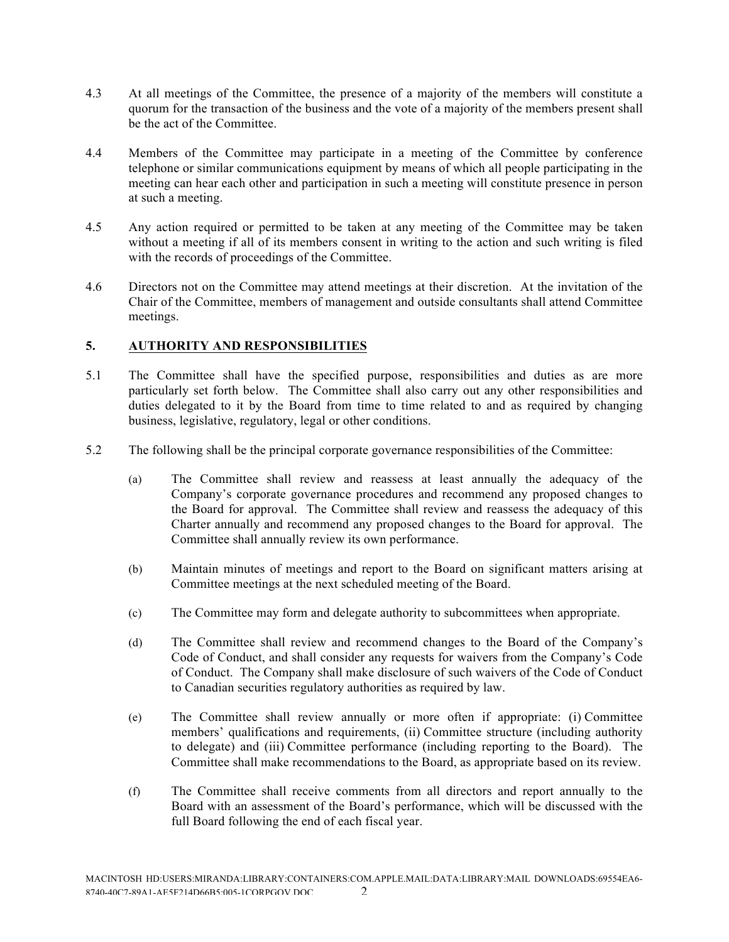- 4.3 At all meetings of the Committee, the presence of a majority of the members will constitute a quorum for the transaction of the business and the vote of a majority of the members present shall be the act of the Committee.
- 4.4 Members of the Committee may participate in a meeting of the Committee by conference telephone or similar communications equipment by means of which all people participating in the meeting can hear each other and participation in such a meeting will constitute presence in person at such a meeting.
- 4.5 Any action required or permitted to be taken at any meeting of the Committee may be taken without a meeting if all of its members consent in writing to the action and such writing is filed with the records of proceedings of the Committee.
- 4.6 Directors not on the Committee may attend meetings at their discretion. At the invitation of the Chair of the Committee, members of management and outside consultants shall attend Committee meetings.

# **5. AUTHORITY AND RESPONSIBILITIES**

- 5.1 The Committee shall have the specified purpose, responsibilities and duties as are more particularly set forth below. The Committee shall also carry out any other responsibilities and duties delegated to it by the Board from time to time related to and as required by changing business, legislative, regulatory, legal or other conditions.
- 5.2 The following shall be the principal corporate governance responsibilities of the Committee:
	- (a) The Committee shall review and reassess at least annually the adequacy of the Company's corporate governance procedures and recommend any proposed changes to the Board for approval. The Committee shall review and reassess the adequacy of this Charter annually and recommend any proposed changes to the Board for approval. The Committee shall annually review its own performance.
	- (b) Maintain minutes of meetings and report to the Board on significant matters arising at Committee meetings at the next scheduled meeting of the Board.
	- (c) The Committee may form and delegate authority to subcommittees when appropriate.
	- (d) The Committee shall review and recommend changes to the Board of the Company's Code of Conduct, and shall consider any requests for waivers from the Company's Code of Conduct. The Company shall make disclosure of such waivers of the Code of Conduct to Canadian securities regulatory authorities as required by law.
	- (e) The Committee shall review annually or more often if appropriate: (i) Committee members' qualifications and requirements, (ii) Committee structure (including authority to delegate) and (iii) Committee performance (including reporting to the Board). The Committee shall make recommendations to the Board, as appropriate based on its review.
	- (f) The Committee shall receive comments from all directors and report annually to the Board with an assessment of the Board's performance, which will be discussed with the full Board following the end of each fiscal year.